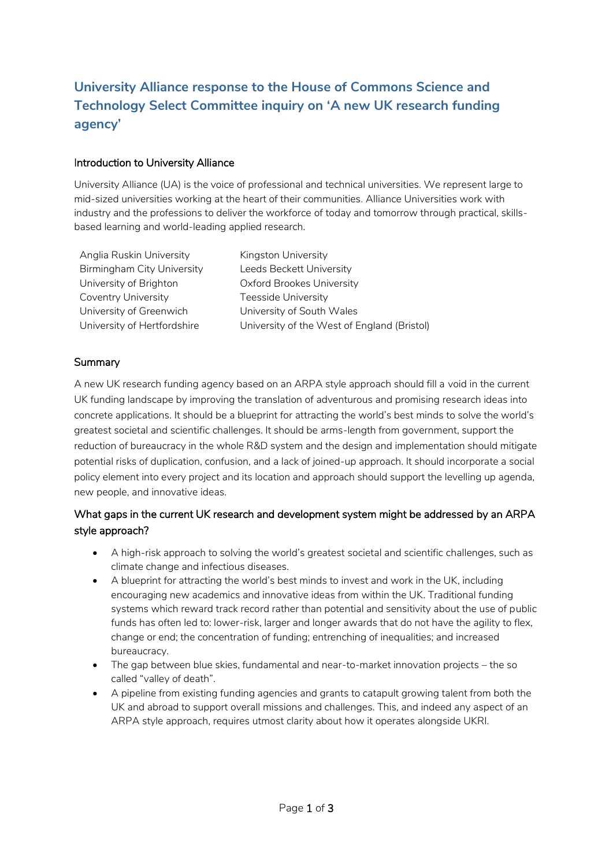# **University Alliance response to the House of Commons Science and Technology Select Committee inquiry on 'A new UK research funding agency'**

#### Introduction to University Alliance

University Alliance (UA) is the voice of professional and technical universities. We represent large to mid-sized universities working at the heart of their communities. Alliance Universities work with industry and the professions to deliver the workforce of today and tomorrow through practical, skillsbased learning and world-leading applied research.

Anglia Ruskin University Kingston University Birmingham City University Leeds Beckett University University of Brighton **Oxford Brookes University** Coventry University Teesside University University of Greenwich University of South Wales

University of Hertfordshire University of the West of England (Bristol)

### Summary

A new UK research funding agency based on an ARPA style approach should fill a void in the current UK funding landscape by improving the translation of adventurous and promising research ideas into concrete applications. It should be a blueprint for attracting the world's best minds to solve the world's greatest societal and scientific challenges. It should be arms-length from government, support the reduction of bureaucracy in the whole R&D system and the design and implementation should mitigate potential risks of duplication, confusion, and a lack of joined-up approach. It should incorporate a social policy element into every project and its location and approach should support the levelling up agenda, new people, and innovative ideas.

# What gaps in the current UK research and development system might be addressed by an ARPA style approach?

- A high-risk approach to solving the world's greatest societal and scientific challenges, such as climate change and infectious diseases.
- A blueprint for attracting the world's best minds to invest and work in the UK, including encouraging new academics and innovative ideas from within the UK. Traditional funding systems which reward track record rather than potential and sensitivity about the use of public funds has often led to: lower-risk, larger and longer awards that do not have the agility to flex, change or end; the concentration of funding; entrenching of inequalities; and increased bureaucracy.
- The gap between blue skies, fundamental and near-to-market innovation projects the so called "valley of death".
- A pipeline from existing funding agencies and grants to catapult growing talent from both the UK and abroad to support overall missions and challenges. This, and indeed any aspect of an ARPA style approach, requires utmost clarity about how it operates alongside UKRI.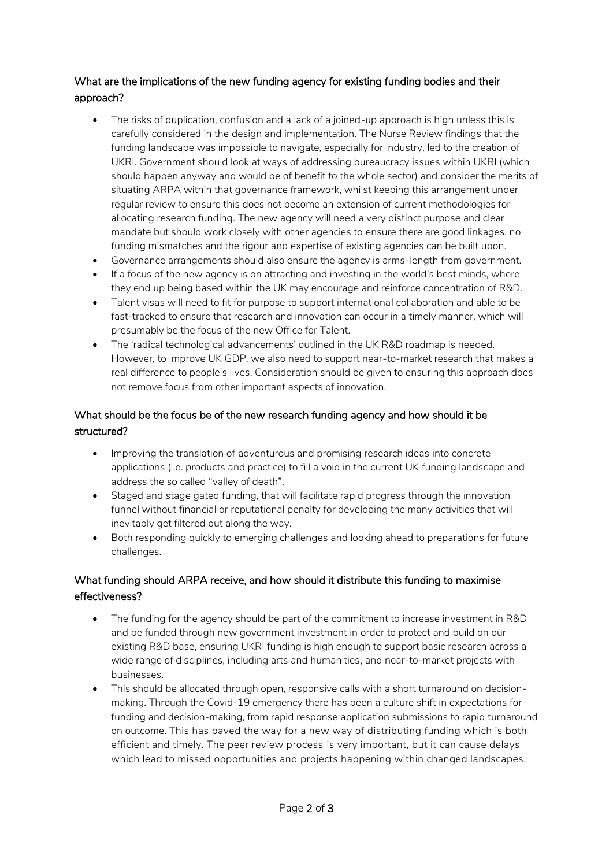# What are the implications of the new funding agency for existing funding bodies and their approach?

- The risks of duplication, confusion and a lack of a joined-up approach is high unless this is carefully considered in the design and implementation. The Nurse Review findings that the funding landscape was impossible to navigate, especially for industry, led to the creation of UKRI. Government should look at ways of addressing bureaucracy issues within UKRI (which should happen anyway and would be of benefit to the whole sector) and consider the merits of situating ARPA within that governance framework, whilst keeping this arrangement under regular review to ensure this does not become an extension of current methodologies for allocating research funding. The new agency will need a very distinct purpose and clear mandate but should work closely with other agencies to ensure there are good linkages, no funding mismatches and the rigour and expertise of existing agencies can be built upon.
- Governance arrangements should also ensure the agency is arms-length from government.
- If a focus of the new agency is on attracting and investing in the world's best minds, where they end up being based within the UK may encourage and reinforce concentration of R&D.
- Talent visas will need to fit for purpose to support international collaboration and able to be fast-tracked to ensure that research and innovation can occur in a timely manner, which will presumably be the focus of the new Office for Talent.
- The 'radical technological advancements' outlined in the UK R&D roadmap is needed. However, to improve UK GDP, we also need to support near-to-market research that makes a real difference to people's lives. Consideration should be given to ensuring this approach does not remove focus from other important aspects of innovation.

# What should be the focus be of the new research funding agency and how should it be structured?

- Improving the translation of adventurous and promising research ideas into concrete applications (i.e. products and practice) to fill a void in the current UK funding landscape and address the so called "valley of death".
- Staged and stage gated funding, that will facilitate rapid progress through the innovation funnel without financial or reputational penalty for developing the many activities that will inevitably get filtered out along the way.
- Both responding quickly to emerging challenges and looking ahead to preparations for future challenges.

## What funding should ARPA receive, and how should it distribute this funding to maximise effectiveness?

- The funding for the agency should be part of the commitment to increase investment in R&D and be funded through new government investment in order to protect and build on our existing R&D base, ensuring UKRI funding is high enough to support basic research across a wide range of disciplines, including arts and humanities, and near-to-market projects with businesses.
- This should be allocated through open, responsive calls with a short turnaround on decisionmaking. Through the Covid-19 emergency there has been a culture shift in expectations for funding and decision-making, from rapid response application submissions to rapid turnaround on outcome. This has paved the way for a new way of distributing funding which is both efficient and timely. The peer review process is very important, but it can cause delays which lead to missed opportunities and projects happening within changed landscapes.